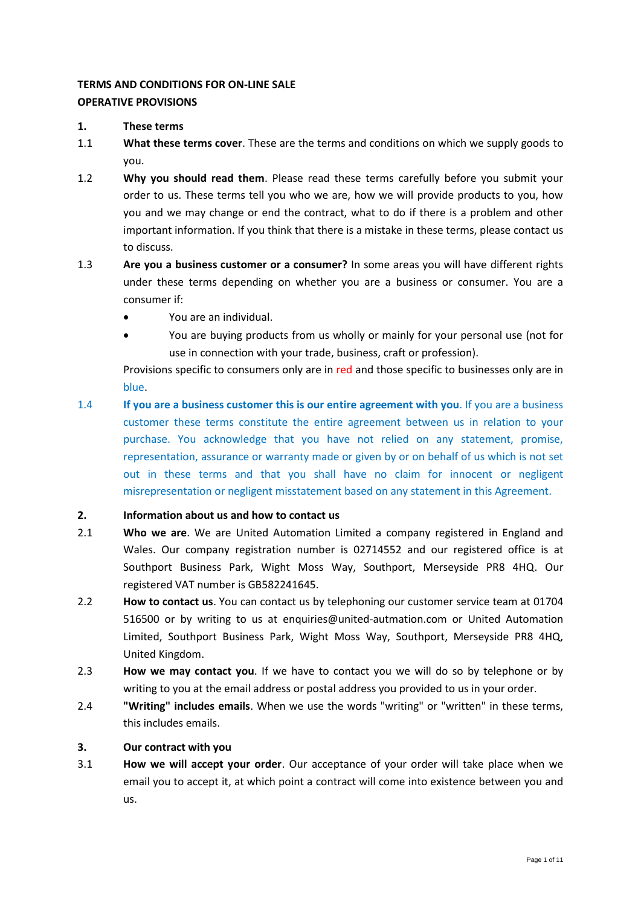# **TERMS AND CONDITIONS FOR ON-LINE SALE OPERATIVE PROVISIONS**

#### **1. These terms**

- 1.1 **What these terms cover**. These are the terms and conditions on which we supply goods to you.
- 1.2 **Why you should read them**. Please read these terms carefully before you submit your order to us. These terms tell you who we are, how we will provide products to you, how you and we may change or end the contract, what to do if there is a problem and other important information. If you think that there is a mistake in these terms, please contact us to discuss.
- 1.3 **Are you a business customer or a consumer?** In some areas you will have different rights under these terms depending on whether you are a business or consumer. You are a consumer if:
	- You are an individual.
	- You are buying products from us wholly or mainly for your personal use (not for use in connection with your trade, business, craft or profession).

Provisions specific to consumers only are in red and those specific to businesses only are in blue.

1.4 **If you are a business customer this is our entire agreement with you**. If you are a business customer these terms constitute the entire agreement between us in relation to your purchase. You acknowledge that you have not relied on any statement, promise, representation, assurance or warranty made or given by or on behalf of us which is not set out in these terms and that you shall have no claim for innocent or negligent misrepresentation or negligent misstatement based on any statement in this Agreement.

# **2. Information about us and how to contact us**

- 2.1 **Who we are**. We are United Automation Limited a company registered in England and Wales. Our company registration number is 02714552 and our registered office is at Southport Business Park, Wight Moss Way, Southport, Merseyside PR8 4HQ. Our registered VAT number is GB582241645.
- 2.2 **How to contact us**. You can contact us by telephoning our customer service team at 01704 516500 or by writing to us at [enquiries@united-autmation.com](mailto:enquiries@united-autmation.com) or United Automation Limited, Southport Business Park, Wight Moss Way, Southport, Merseyside PR8 4HQ, United Kingdom.
- 2.3 **How we may contact you**. If we have to contact you we will do so by telephone or by writing to you at the email address or postal address you provided to us in your order.
- 2.4 **"Writing" includes emails**. When we use the words "writing" or "written" in these terms, this includes emails.

# **3. Our contract with you**

3.1 **How we will accept your order**. Our acceptance of your order will take place when we email you to accept it, at which point a contract will come into existence between you and us.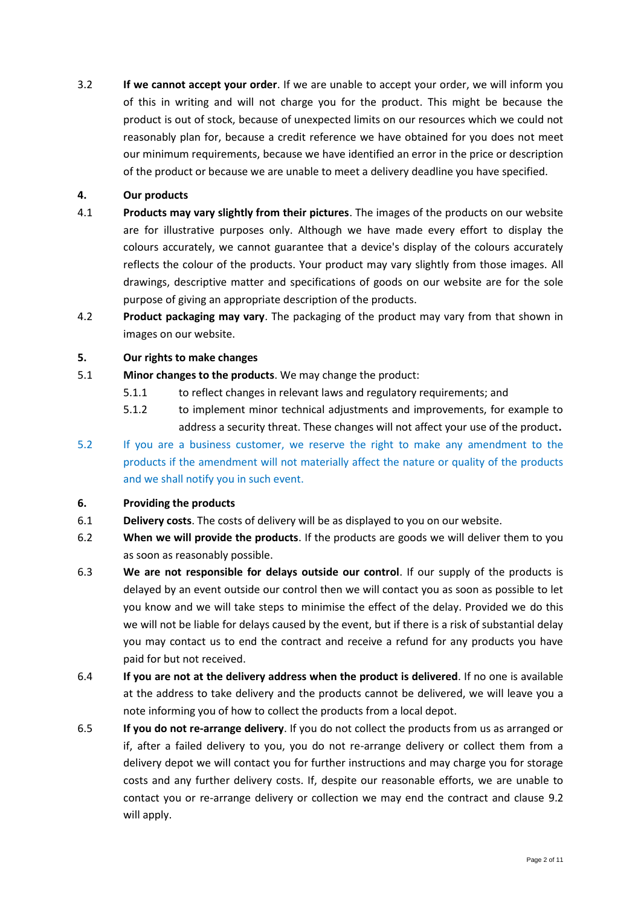3.2 **If we cannot accept your order**. If we are unable to accept your order, we will inform you of this in writing and will not charge you for the product. This might be because the product is out of stock, because of unexpected limits on our resources which we could not reasonably plan for, because a credit reference we have obtained for you does not meet our minimum requirements, because we have identified an error in the price or description of the product or because we are unable to meet a delivery deadline you have specified.

#### **4. Our products**

- 4.1 **Products may vary slightly from their pictures**. The images of the products on our website are for illustrative purposes only. Although we have made every effort to display the colours accurately, we cannot guarantee that a device's display of the colours accurately reflects the colour of the products. Your product may vary slightly from those images. All drawings, descriptive matter and specifications of goods on our website are for the sole purpose of giving an appropriate description of the products.
- 4.2 **Product packaging may vary**. The packaging of the product may vary from that shown in images on our website.

### <span id="page-1-0"></span>**5. Our rights to make changes**

- 5.1 **Minor changes to the products**. We may change the product:
	- 5.1.1 to reflect changes in relevant laws and regulatory requirements; and
	- 5.1.2 to implement minor technical adjustments and improvements, for example to address a security threat. These changes will not affect your use of the product**.**
- 5.2 If you are a business customer, we reserve the right to make any amendment to the products if the amendment will not materially affect the nature or quality of the products and we shall notify you in such event.

#### **6. Providing the products**

- 6.1 **Delivery costs**. The costs of delivery will be as displayed to you on our website.
- 6.2 **When we will provide the products**. If the products are goods we will deliver them to you as soon as reasonably possible.
- 6.3 **We are not responsible for delays outside our control**. If our supply of the products is delayed by an event outside our control then we will contact you as soon as possible to let you know and we will take steps to minimise the effect of the delay. Provided we do this we will not be liable for delays caused by the event, but if there is a risk of substantial delay you may contact us to end the contract and receive a refund for any products you have paid for but not received.
- 6.4 **If you are not at the delivery address when the product is delivered**. If no one is available at the address to take delivery and the products cannot be delivered, we will leave you a note informing you of how to collect the products from a local depot.
- 6.5 **If you do not re-arrange delivery**. If you do not collect the products from us as arranged or if, after a failed delivery to you, you do not re-arrange delivery or collect them from a delivery depot we will contact you for further instructions and may charge you for storage costs and any further delivery costs. If, despite our reasonable efforts, we are unable to contact you or re-arrange delivery or collection we may end the contract and clause [9.2](#page-5-0) will apply.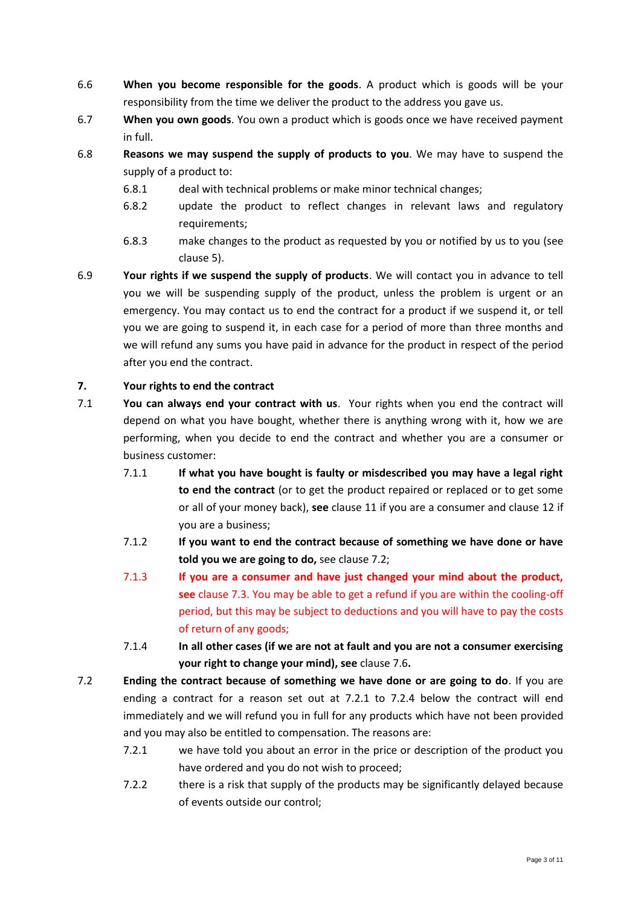- 6.6 **When you become responsible for the goods**. A product which is goods will be your responsibility from the time we deliver the product to the address you gave us.
- 6.7 **When you own goods**. You own a product which is goods once we have received payment in full.
- 6.8 **Reasons we may suspend the supply of products to you**. We may have to suspend the supply of a product to:
	- 6.8.1 deal with technical problems or make minor technical changes;
	- 6.8.2 update the product to reflect changes in relevant laws and regulatory requirements;
	- 6.8.3 make changes to the product as requested by you or notified by us to you (see claus[e 5\)](#page-1-0).
- 6.9 **Your rights if we suspend the supply of products**. We will contact you in advance to tell you we will be suspending supply of the product, unless the problem is urgent or an emergency. You may contact us to end the contract for a product if we suspend it, or tell you we are going to suspend it, in each case for a period of more than three months and we will refund any sums you have paid in advance for the product in respect of the period after you end the contract.

# **7. Your rights to end the contract**

- <span id="page-2-1"></span>7.1 **You can always end your contract with us**. Your rights when you end the contract will depend on what you have bought, whether there is anything wrong with it, how we are performing, when you decide to end the contract and whether you are a consumer or business customer:
	- 7.1.1 **If what you have bought is faulty or misdescribed you may have a legal right to end the contract** (or to get the product repaired or replaced or to get some or all of your money back), **see** clause [11](#page-5-1) if you are a consumer and clause [12](#page-6-0) if you are a business;
	- 7.1.2 **If you want to end the contract because of something we have done or have told you we are going to do,** see clause [7.2;](#page-2-0)
	- 7.1.3 **If you are a consumer and have just changed your mind about the product, see** clause [7.3.](#page-3-0) You may be able to get a refund if you are within the cooling-off period, but this may be subject to deductions and you will have to pay the costs of return of any goods;
	- 7.1.4 **In all other cases (if we are not at fault and you are not a consumer exercising your right to change your mind), see** clause [7.6](#page-3-1)**.**
- <span id="page-2-0"></span>7.2 **Ending the contract because of something we have done or are going to do**. If you are ending a contract for a reason set out at 7.2.1 to 7.2.4 below the contract will end immediately and we will refund you in full for any products which have not been provided and you may also be entitled to compensation. The reasons are:
	- 7.2.1 we have told you about an error in the price or description of the product you have ordered and you do not wish to proceed;
	- 7.2.2 there is a risk that supply of the products may be significantly delayed because of events outside our control;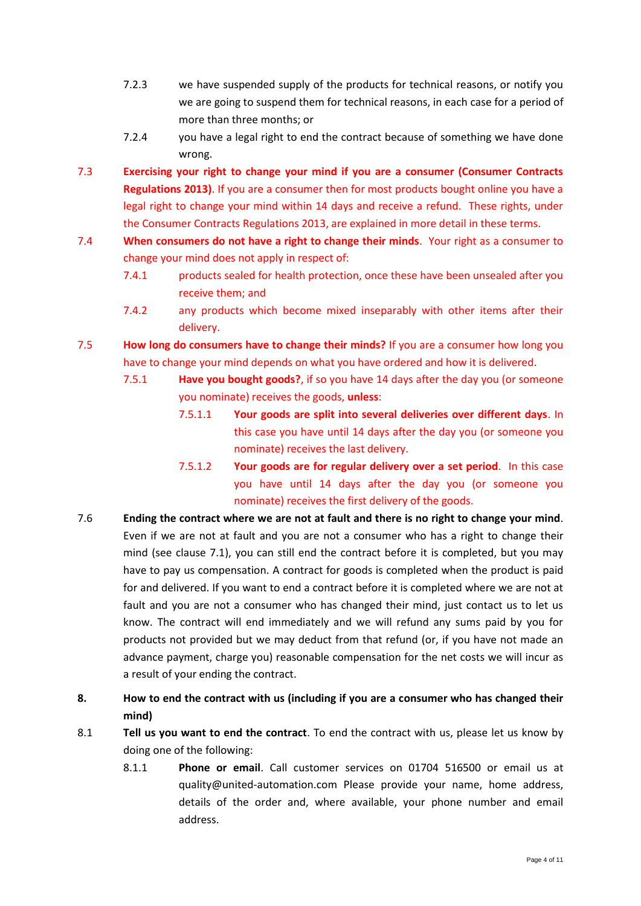- 7.2.3 we have suspended supply of the products for technical reasons, or notify you we are going to suspend them for technical reasons, in each case for a period of more than three months; or
- 7.2.4 you have a legal right to end the contract because of something we have done wrong.
- <span id="page-3-0"></span>7.3 **Exercising your right to change your mind if you are a consumer (Consumer Contracts Regulations 2013)**. If you are a consumer then for most products bought online you have a legal right to change your mind within 14 days and receive a refund. These rights, under the Consumer Contracts Regulations 2013, are explained in more detail in these terms.
- 7.4 **When consumers do not have a right to change their minds**. Your right as a consumer to change your mind does not apply in respect of:
	- 7.4.1 products sealed for health protection, once these have been unsealed after you receive them; and
	- 7.4.2 any products which become mixed inseparably with other items after their delivery.
- 7.5 **How long do consumers have to change their minds?** If you are a consumer how long you have to change your mind depends on what you have ordered and how it is delivered.
	- 7.5.1 **Have you bought goods?**, if so you have 14 days after the day you (or someone you nominate) receives the goods, **unless**:
		- 7.5.1.1 **Your goods are split into several deliveries over different days**. In this case you have until 14 days after the day you (or someone you nominate) receives the last delivery.
		- 7.5.1.2 **Your goods are for regular delivery over a set period**. In this case you have until 14 days after the day you (or someone you nominate) receives the first delivery of the goods.
- <span id="page-3-1"></span>7.6 **Ending the contract where we are not at fault and there is no right to change your mind**. Even if we are not at fault and you are not a consumer who has a right to change their mind (see clause [7.1\)](#page-2-1), you can still end the contract before it is completed, but you may have to pay us compensation. A contract for goods is completed when the product is paid for and delivered. If you want to end a contract before it is completed where we are not at fault and you are not a consumer who has changed their mind, just contact us to let us know. The contract will end immediately and we will refund any sums paid by you for products not provided but we may deduct from that refund (or, if you have not made an advance payment, charge you) reasonable compensation for the net costs we will incur as a result of your ending the contract.
- **8. How to end the contract with us (including if you are a consumer who has changed their mind)**
- 8.1 **Tell us you want to end the contract**. To end the contract with us, please let us know by doing one of the following:
	- 8.1.1 **Phone or email**. Call customer services on 01704 516500 or email us at [quality@united-automation.com](mailto:quality@united-automation.com) Please provide your name, home address, details of the order and, where available, your phone number and email address.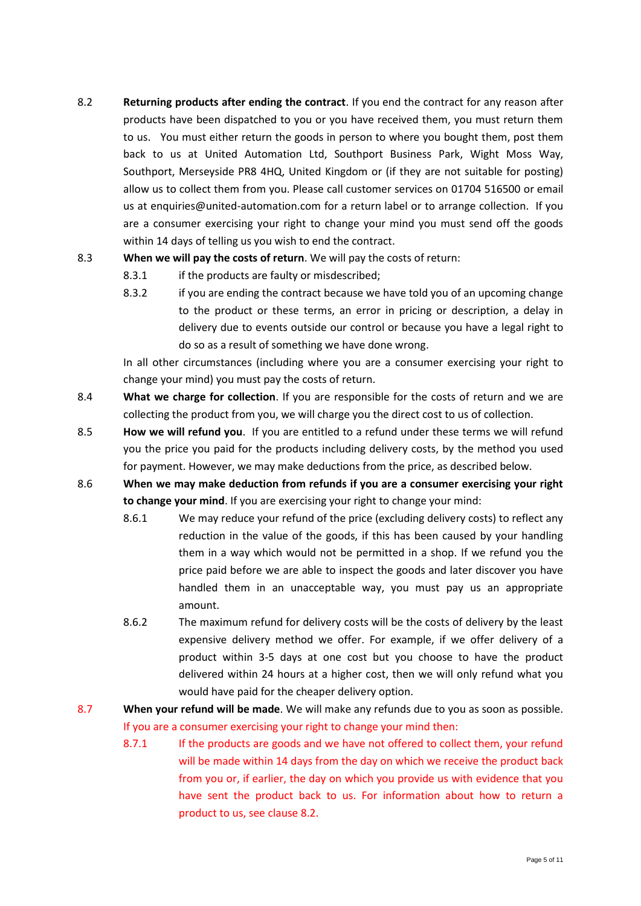<span id="page-4-0"></span>8.2 **Returning products after ending the contract**. If you end the contract for any reason after products have been dispatched to you or you have received them, you must return them to us. You must either return the goods in person to where you bought them, post them back to us at United Automation Ltd, Southport Business Park, Wight Moss Way, Southport, Merseyside PR8 4HQ, United Kingdom or (if they are not suitable for posting) allow us to collect them from you. Please call customer services on 01704 516500 or email us at enquiries@united-automation.com for a return label or to arrange collection. If you are a consumer exercising your right to change your mind you must send off the goods within 14 days of telling us you wish to end the contract.

# 8.3 **When we will pay the costs of return**. We will pay the costs of return:

- 8.3.1 if the products are faulty or misdescribed;
- 8.3.2 if you are ending the contract because we have told you of an upcoming change to the product or these terms, an error in pricing or description, a delay in delivery due to events outside our control or because you have a legal right to do so as a result of something we have done wrong.

In all other circumstances (including where you are a consumer exercising your right to change your mind) you must pay the costs of return.

- 8.4 **What we charge for collection**. If you are responsible for the costs of return and we are collecting the product from you, we will charge you the direct cost to us of collection.
- 8.5 **How we will refund you**. If you are entitled to a refund under these terms we will refund you the price you paid for the products including delivery costs, by the method you used for payment. However, we may make deductions from the price, as described below.
- 8.6 **When we may make deduction from refunds if you are a consumer exercising your right to change your mind**. If you are exercising your right to change your mind:
	- 8.6.1 We may reduce your refund of the price (excluding delivery costs) to reflect any reduction in the value of the goods, if this has been caused by your handling them in a way which would not be permitted in a shop. If we refund you the price paid before we are able to inspect the goods and later discover you have handled them in an unacceptable way, you must pay us an appropriate amount.
	- 8.6.2 The maximum refund for delivery costs will be the costs of delivery by the least expensive delivery method we offer. For example, if we offer delivery of a product within 3-5 days at one cost but you choose to have the product delivered within 24 hours at a higher cost, then we will only refund what you would have paid for the cheaper delivery option.
- 8.7 **When your refund will be made**. We will make any refunds due to you as soon as possible. If you are a consumer exercising your right to change your mind then:
	- 8.7.1 If the products are goods and we have not offered to collect them, your refund will be made within 14 days from the day on which we receive the product back from you or, if earlier, the day on which you provide us with evidence that you have sent the product back to us. For information about how to return a product to us, see claus[e 8.2.](#page-4-0)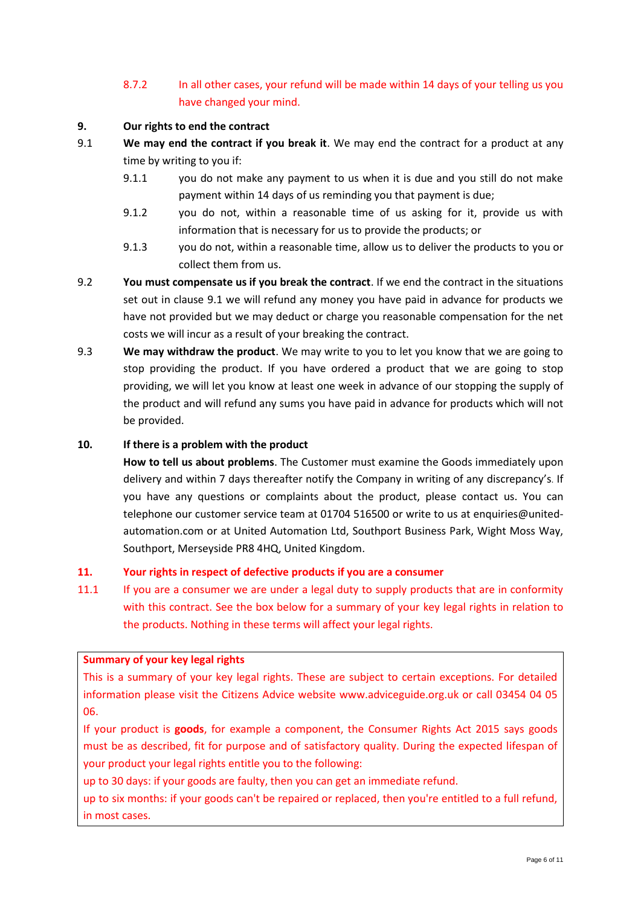# 8.7.2 In all other cases, your refund will be made within 14 days of your telling us you have changed your mind.

### **9. Our rights to end the contract**

- <span id="page-5-2"></span>9.1 **We may end the contract if you break it**. We may end the contract for a product at any time by writing to you if:
	- 9.1.1 you do not make any payment to us when it is due and you still do not make payment within 14 days of us reminding you that payment is due;
	- 9.1.2 you do not, within a reasonable time of us asking for it, provide us with information that is necessary for us to provide the products; or
	- 9.1.3 you do not, within a reasonable time, allow us to deliver the products to you or collect them from us.
- <span id="page-5-0"></span>9.2 **You must compensate us if you break the contract**. If we end the contract in the situations set out in clause [9.1](#page-5-2) we will refund any money you have paid in advance for products we have not provided but we may deduct or charge you reasonable compensation for the net costs we will incur as a result of your breaking the contract.
- 9.3 **We may withdraw the product**. We may write to you to let you know that we are going to stop providing the product. If you have ordered a product that we are going to stop providing, we will let you know at least one week in advance of our stopping the supply of the product and will refund any sums you have paid in advance for products which will not be provided.

### **10. If there is a problem with the product**

**How to tell us about problems**. The Customer must examine the Goods immediately upon delivery and within 7 days thereafter notify the Company in writing of any discrepancy's. If you have any questions or complaints about the product, please contact us. You can telephone our customer service team at 01704 516500 or write to us a[t enquiries@united](mailto:enquiries@united-automation.com)[automation.com](mailto:enquiries@united-automation.com) or at United Automation Ltd, Southport Business Park, Wight Moss Way, Southport, Merseyside PR8 4HQ, United Kingdom.

#### <span id="page-5-1"></span>**11. Your rights in respect of defective products if you are a consumer**

11.1 If you are a consumer we are under a legal duty to supply products that are in conformity with this contract. See the box below for a summary of your key legal rights in relation to the products. Nothing in these terms will affect your legal rights.

#### **Summary of your key legal rights**

This is a summary of your key legal rights. These are subject to certain exceptions. For detailed information please visit the Citizens Advice website www.adviceguide.org.uk or call 03454 04 05 06.

If your product is **goods**, for example a component, the Consumer Rights Act 2015 says goods must be as described, fit for purpose and of satisfactory quality. During the expected lifespan of your product your legal rights entitle you to the following:

up to 30 days: if your goods are faulty, then you can get an immediate refund.

up to six months: if your goods can't be repaired or replaced, then you're entitled to a full refund, in most cases.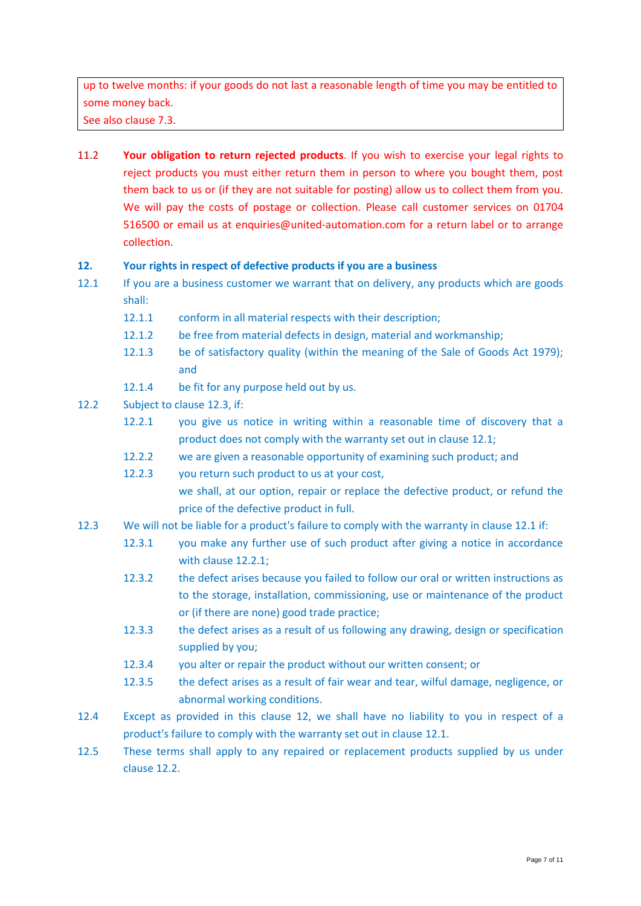up to twelve months: if your goods do not last a reasonable length of time you may be entitled to some money back.

See also clause [7.3.](#page-3-0)

11.2 **Your obligation to return rejected products**. If you wish to exercise your legal rights to reject products you must either return them in person to where you bought them, post them back to us or (if they are not suitable for posting) allow us to collect them from you. We will pay the costs of postage or collection. Please call customer services on 01704 516500 or email us at enquiries@united-automation.com for a return label or to arrange collection.

### <span id="page-6-0"></span>**12. Your rights in respect of defective products if you are a business**

- <span id="page-6-2"></span>12.1 If you are a business customer we warrant that on delivery, any products which are goods shall:
	- 12.1.1 conform in all material respects with their description;
	- 12.1.2 be free from material defects in design, material and workmanship;
	- 12.1.3 be of satisfactory quality (within the meaning of the Sale of Goods Act 1979); and
	- 12.1.4 be fit for any purpose held out by us.
- <span id="page-6-4"></span><span id="page-6-3"></span>12.2 Subject to claus[e 12.3,](#page-6-1) if:
	- 12.2.1 you give us notice in writing within a reasonable time of discovery that a product does not comply with the warranty set out in clause [12.1;](#page-6-2)
	- 12.2.2 we are given a reasonable opportunity of examining such product; and
	- 12.2.3 you return such product to us at your cost, we shall, at our option, repair or replace the defective product, or refund the price of the defective product in full.
- <span id="page-6-1"></span>12.3 We will not be liable for a product's failure to comply with the warranty in clause [12.1](#page-6-2) if:
	- 12.3.1 you make any further use of such product after giving a notice in accordance with clause [12.2.1;](#page-6-3)
		- 12.3.2 the defect arises because you failed to follow our oral or written instructions as to the storage, installation, commissioning, use or maintenance of the product or (if there are none) good trade practice;
		- 12.3.3 the defect arises as a result of us following any drawing, design or specification supplied by you;
		- 12.3.4 you alter or repair the product without our written consent; or
		- 12.3.5 the defect arises as a result of fair wear and tear, wilful damage, negligence, or abnormal working conditions.
- 12.4 Except as provided in this clause [12,](#page-6-0) we shall have no liability to you in respect of a product's failure to comply with the warranty set out in clause [12.1.](#page-6-2)
- 12.5 These terms shall apply to any repaired or replacement products supplied by us under clause [12.2.](#page-6-4)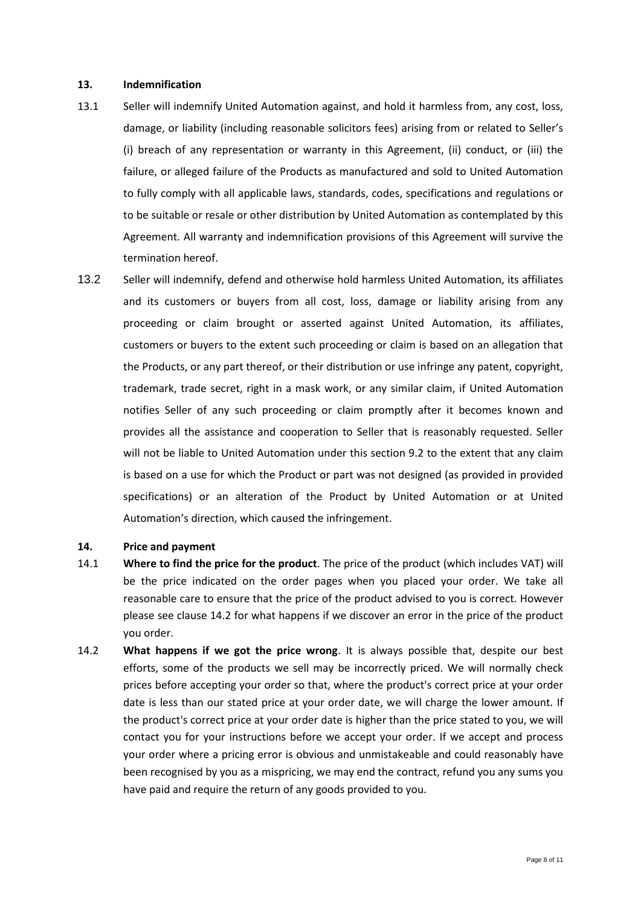#### **13. Indemnification**

- 13.1 Seller will indemnify United Automation against, and hold it harmless from, any cost, loss, damage, or liability (including reasonable solicitors fees) arising from or related to Seller's (i) breach of any representation or warranty in this Agreement, (ii) conduct, or (iii) the failure, or alleged failure of the Products as manufactured and sold to United Automation to fully comply with all applicable laws, standards, codes, specifications and regulations or to be suitable or resale or other distribution by United Automation as contemplated by this Agreement. All warranty and indemnification provisions of this Agreement will survive the termination hereof.
- 13.2 Seller will indemnify, defend and otherwise hold harmless United Automation, its affiliates and its customers or buyers from all cost, loss, damage or liability arising from any proceeding or claim brought or asserted against United Automation, its affiliates, customers or buyers to the extent such proceeding or claim is based on an allegation that the Products, or any part thereof, or their distribution or use infringe any patent, copyright, trademark, trade secret, right in a mask work, or any similar claim, if United Automation notifies Seller of any such proceeding or claim promptly after it becomes known and provides all the assistance and cooperation to Seller that is reasonably requested. Seller will not be liable to United Automation under this section 9.2 to the extent that any claim is based on a use for which the Product or part was not designed (as provided in provided specifications) or an alteration of the Product by United Automation or at United Automation's direction, which caused the infringement.

#### **14. Price and payment**

- 14.1 **Where to find the price for the product**. The price of the product (which includes VAT) will be the price indicated on the order pages when you placed your order. We take all reasonable care to ensure that the price of the product advised to you is correct. However please see clause [14.2](#page-7-0) for what happens if we discover an error in the price of the product you order.
- <span id="page-7-0"></span>14.2 **What happens if we got the price wrong**. It is always possible that, despite our best efforts, some of the products we sell may be incorrectly priced. We will normally check prices before accepting your order so that, where the product's correct price at your order date is less than our stated price at your order date, we will charge the lower amount. If the product's correct price at your order date is higher than the price stated to you, we will contact you for your instructions before we accept your order. If we accept and process your order where a pricing error is obvious and unmistakeable and could reasonably have been recognised by you as a mispricing, we may end the contract, refund you any sums you have paid and require the return of any goods provided to you.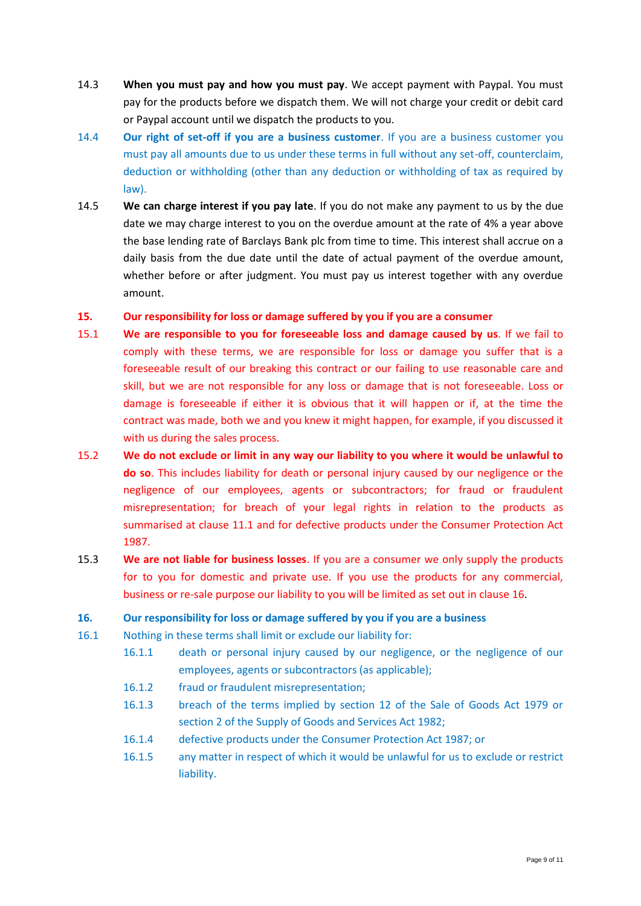- 14.3 **When you must pay and how you must pay**. We accept payment with Paypal. You must pay for the products before we dispatch them. We will not charge your credit or debit card or Paypal account until we dispatch the products to you.
- 14.4 **Our right of set-off if you are a business customer**. If you are a business customer you must pay all amounts due to us under these terms in full without any set-off, counterclaim, deduction or withholding (other than any deduction or withholding of tax as required by law).
- 14.5 **We can charge interest if you pay late**. If you do not make any payment to us by the due date we may charge interest to you on the overdue amount at the rate of 4% a year above the base lending rate of Barclays Bank plc from time to time. This interest shall accrue on a daily basis from the due date until the date of actual payment of the overdue amount, whether before or after judgment. You must pay us interest together with any overdue amount.
- **15. Our responsibility for loss or damage suffered by you if you are a consumer**
- 15.1 **We are responsible to you for foreseeable loss and damage caused by us**. If we fail to comply with these terms, we are responsible for loss or damage you suffer that is a foreseeable result of our breaking this contract or our failing to use reasonable care and skill, but we are not responsible for any loss or damage that is not foreseeable. Loss or damage is foreseeable if either it is obvious that it will happen or if, at the time the contract was made, both we and you knew it might happen, for example, if you discussed it with us during the sales process.
- 15.2 **We do not exclude or limit in any way our liability to you where it would be unlawful to do so**. This includes liability for death or personal injury caused by our negligence or the negligence of our employees, agents or subcontractors; for fraud or fraudulent misrepresentation; for breach of your legal rights in relation to the products as summarised at clause 11.1 and for defective products under the Consumer Protection Act 1987.
- 15.3 **We are not liable for business losses**. If you are a consumer we only supply the products for to you for domestic and private use. If you use the products for any commercial, business or re-sale purpose our liability to you will be limited as set out in clause 16.

# **16. Our responsibility for loss or damage suffered by you if you are a business**

- 16.1 Nothing in these terms shall limit or exclude our liability for:
	- 16.1.1 death or personal injury caused by our negligence, or the negligence of our employees, agents or subcontractors (as applicable);
	- 16.1.2 fraud or fraudulent misrepresentation;
	- 16.1.3 breach of the terms implied by section 12 of the Sale of Goods Act 1979 or section 2 of the Supply of Goods and Services Act 1982;
	- 16.1.4 defective products under the Consumer Protection Act 1987; or
	- 16.1.5 any matter in respect of which it would be unlawful for us to exclude or restrict liability.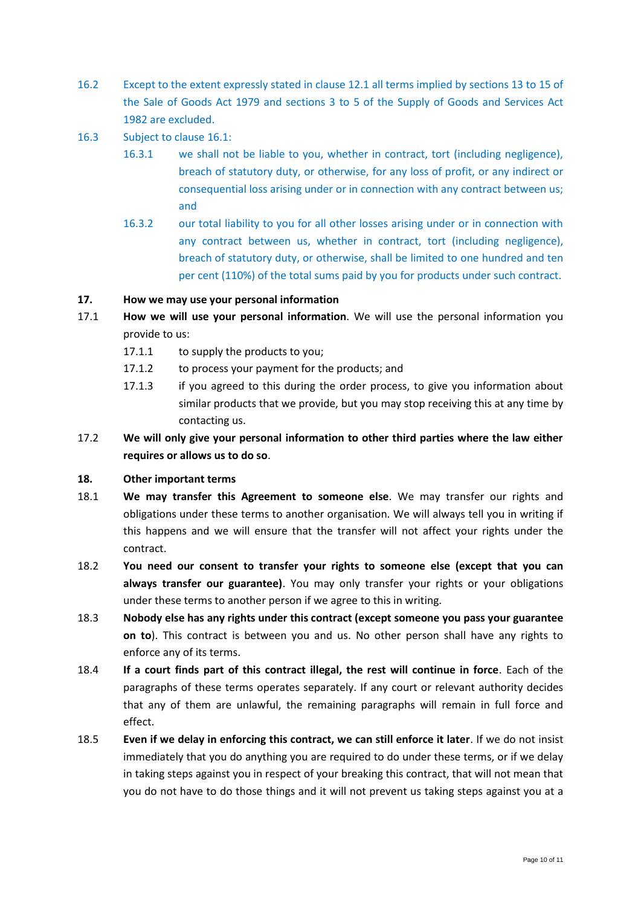- 16.2 Except to the extent expressly stated in clause 12.1 all terms implied by sections 13 to 15 of the Sale of Goods Act 1979 and sections 3 to 5 of the Supply of Goods and Services Act 1982 are excluded.
- 16.3 Subject to clause 16.1:
	- 16.3.1 we shall not be liable to you, whether in contract, tort (including negligence), breach of statutory duty, or otherwise, for any loss of profit, or any indirect or consequential loss arising under or in connection with any contract between us; and
	- 16.3.2 our total liability to you for all other losses arising under or in connection with any contract between us, whether in contract, tort (including negligence), breach of statutory duty, or otherwise, shall be limited to one hundred and ten per cent (110%) of the total sums paid by you for products under such contract.

# **17. How we may use your personal information**

- 17.1 **How we will use your personal information**. We will use the personal information you provide to us:
	- 17.1.1 to supply the products to you;
	- 17.1.2 to process your payment for the products; and
	- 17.1.3 if you agreed to this during the order process, to give you information about similar products that we provide, but you may stop receiving this at any time by contacting us.
- 17.2 **We will only give your personal information to other third parties where the law either requires or allows us to do so**.

# **18. Other important terms**

- 18.1 **We may transfer this Agreement to someone else**. We may transfer our rights and obligations under these terms to another organisation. We will always tell you in writing if this happens and we will ensure that the transfer will not affect your rights under the contract.
- 18.2 **You need our consent to transfer your rights to someone else (except that you can always transfer our guarantee)**. You may only transfer your rights or your obligations under these terms to another person if we agree to this in writing.
- 18.3 **Nobody else has any rights under this contract (except someone you pass your guarantee on to**). This contract is between you and us. No other person shall have any rights to enforce any of its terms.
- 18.4 **If a court finds part of this contract illegal, the rest will continue in force**. Each of the paragraphs of these terms operates separately. If any court or relevant authority decides that any of them are unlawful, the remaining paragraphs will remain in full force and effect.
- 18.5 **Even if we delay in enforcing this contract, we can still enforce it later**. If we do not insist immediately that you do anything you are required to do under these terms, or if we delay in taking steps against you in respect of your breaking this contract, that will not mean that you do not have to do those things and it will not prevent us taking steps against you at a